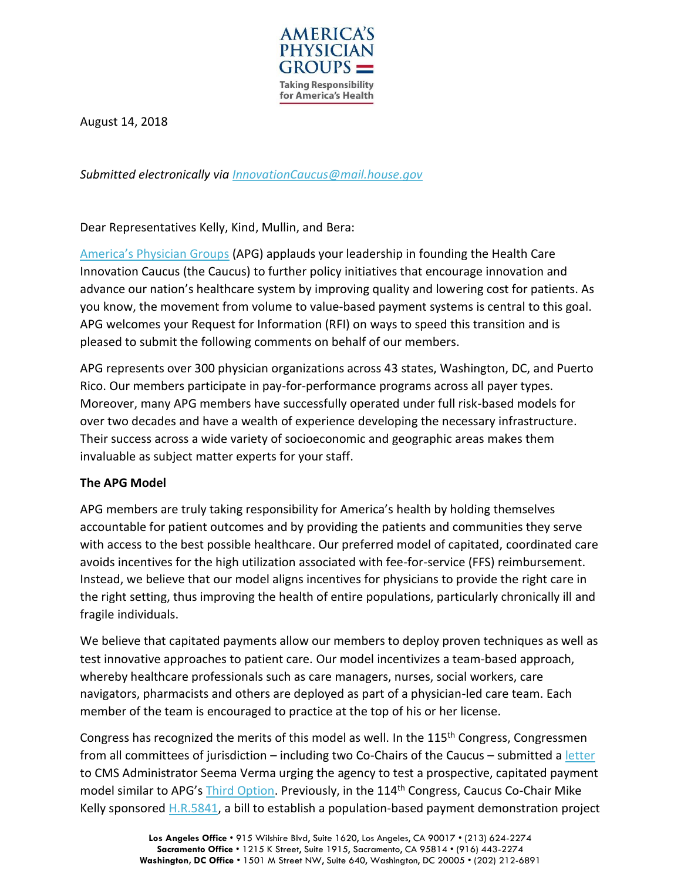

August 14, 2018

*Submitted electronically via [InnovationCaucus@mail.house.gov](mailto:InnovationCaucus@mail.house.gov)*

Dear Representatives Kelly, Kind, Mullin, and Bera:

[America's Physician Groups](http://www.apg.org/) (APG) applauds your leadership in founding the Health Care Innovation Caucus (the Caucus) to further policy initiatives that encourage innovation and advance our nation's healthcare system by improving quality and lowering cost for patients. As you know, the movement from volume to value-based payment systems is central to this goal. APG welcomes your Request for Information (RFI) on ways to speed this transition and is pleased to submit the following comments on behalf of our members.

APG represents over 300 physician organizations across 43 states, Washington, DC, and Puerto Rico. Our members participate in pay-for-performance programs across all payer types. Moreover, many APG members have successfully operated under full risk-based models for over two decades and have a wealth of experience developing the necessary infrastructure. Their success across a wide variety of socioeconomic and geographic areas makes them invaluable as subject matter experts for your staff.

## **The APG Model**

APG members are truly taking responsibility for America's health by holding themselves accountable for patient outcomes and by providing the patients and communities they serve with access to the best possible healthcare. Our preferred model of capitated, coordinated care avoids incentives for the high utilization associated with fee-for-service (FFS) reimbursement. Instead, we believe that our model aligns incentives for physicians to provide the right care in the right setting, thus improving the health of entire populations, particularly chronically ill and fragile individuals.

We believe that capitated payments allow our members to deploy proven techniques as well as test innovative approaches to patient care. Our model incentivizes a team-based approach, whereby healthcare professionals such as care managers, nurses, social workers, care navigators, pharmacists and others are deployed as part of a physician-led care team. Each member of the team is encouraged to practice at the top of his or her license.

Congress has recognized the merits of this model as well. In the 115<sup>th</sup> Congress, Congressmen from all committees of jurisdiction – including two Co-Chairs of the Caucus – submitted a [letter](http://www.apg.org/Modules/ShowDocument.aspx?documentid=4124&_cldee=d2JhcmNlbGxvbmFAY2FwZy5vcmc%3d&recipientid=contact-30f10e06131ee71194060003ffa3e088-6ad55cb191f74fb68ccc2ba94f24926e&esid=53ccacf3-59d4-e711-8117-e0071b6a10b1) to CMS Administrator Seema Verma urging the agency to test a prospective, capitated payment model similar to APG's [Third Option.](http://www.apg.org/modules/showdocument.aspx?documentid=4496) Previously, in the 114<sup>th</sup> Congress, Caucus Co-Chair Mike Kelly sponsored [H.R.5841,](https://www.congress.gov/bill/114th-congress/house-bill/5841?q=%7B%22search%22%3A%5B%22mike+kelly%22%5D%7D) a bill to establish a population-based payment demonstration project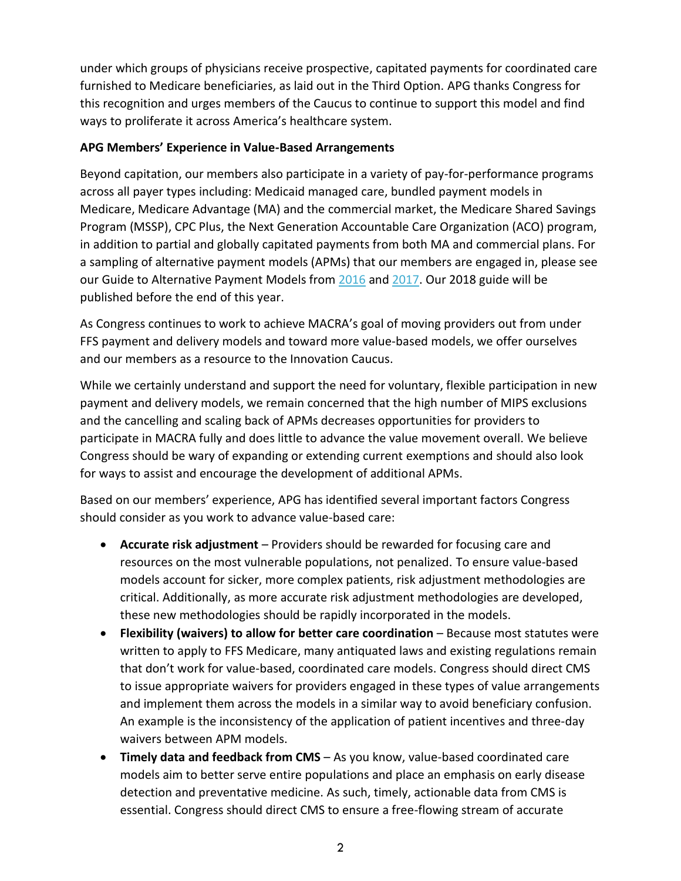under which groups of physicians receive prospective, capitated payments for coordinated care furnished to Medicare beneficiaries, as laid out in the Third Option. APG thanks Congress for this recognition and urges members of the Caucus to continue to support this model and find ways to proliferate it across America's healthcare system.

## **APG Members' Experience in Value-Based Arrangements**

Beyond capitation, our members also participate in a variety of pay-for-performance programs across all payer types including: Medicaid managed care, bundled payment models in Medicare, Medicare Advantage (MA) and the commercial market, the Medicare Shared Savings Program (MSSP), CPC Plus, the Next Generation Accountable Care Organization (ACO) program, in addition to partial and globally capitated payments from both MA and commercial plans. For a sampling of alternative payment models (APMs) that our members are engaged in, please see our Guide to Alternative Payment Models from [2016](https://www.himss.org/sites/himssorg/files/capg-guide-apms.pdf) an[d 2017.](http://capg.org/Modules/ShowDocument.aspx?documentid=3832) Our 2018 guide will be published before the end of this year.

As Congress continues to work to achieve MACRA's goal of moving providers out from under FFS payment and delivery models and toward more value-based models, we offer ourselves and our members as a resource to the Innovation Caucus.

While we certainly understand and support the need for voluntary, flexible participation in new payment and delivery models, we remain concerned that the high number of MIPS exclusions and the cancelling and scaling back of APMs decreases opportunities for providers to participate in MACRA fully and does little to advance the value movement overall. We believe Congress should be wary of expanding or extending current exemptions and should also look for ways to assist and encourage the development of additional APMs.

Based on our members' experience, APG has identified several important factors Congress should consider as you work to advance value-based care:

- **Accurate risk adjustment** Providers should be rewarded for focusing care and resources on the most vulnerable populations, not penalized. To ensure value-based models account for sicker, more complex patients, risk adjustment methodologies are critical. Additionally, as more accurate risk adjustment methodologies are developed, these new methodologies should be rapidly incorporated in the models.
- **Flexibility (waivers) to allow for better care coordination** Because most statutes were written to apply to FFS Medicare, many antiquated laws and existing regulations remain that don't work for value-based, coordinated care models. Congress should direct CMS to issue appropriate waivers for providers engaged in these types of value arrangements and implement them across the models in a similar way to avoid beneficiary confusion. An example is the inconsistency of the application of patient incentives and three-day waivers between APM models.
- **Timely data and feedback from CMS** As you know, value-based coordinated care models aim to better serve entire populations and place an emphasis on early disease detection and preventative medicine. As such, timely, actionable data from CMS is essential. Congress should direct CMS to ensure a free-flowing stream of accurate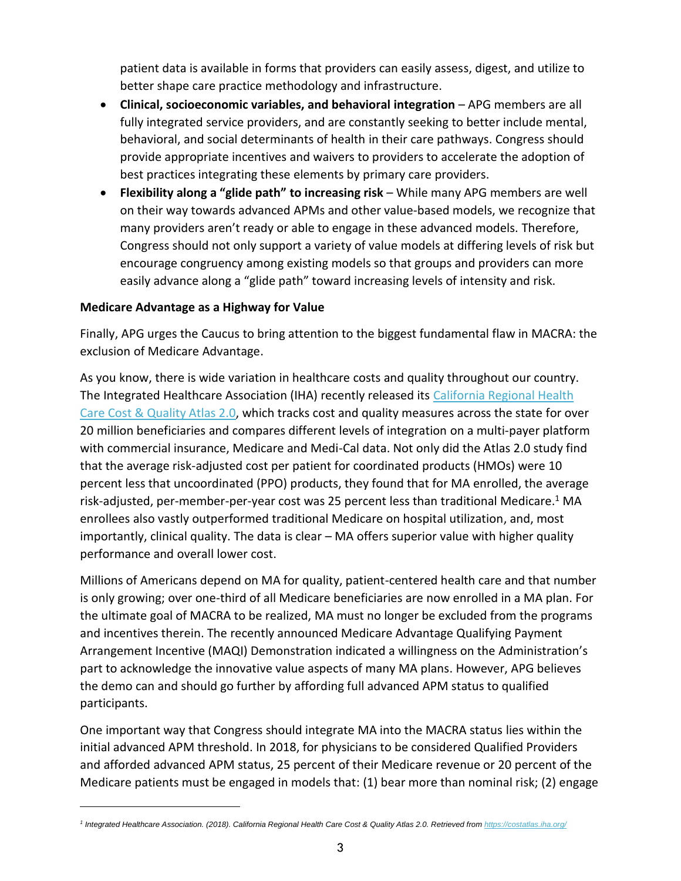patient data is available in forms that providers can easily assess, digest, and utilize to better shape care practice methodology and infrastructure.

- **Clinical, socioeconomic variables, and behavioral integration** APG members are all fully integrated service providers, and are constantly seeking to better include mental, behavioral, and social determinants of health in their care pathways. Congress should provide appropriate incentives and waivers to providers to accelerate the adoption of best practices integrating these elements by primary care providers.
- **Flexibility along a "glide path" to increasing risk** While many APG members are well on their way towards advanced APMs and other value-based models, we recognize that many providers aren't ready or able to engage in these advanced models. Therefore, Congress should not only support a variety of value models at differing levels of risk but encourage congruency among existing models so that groups and providers can more easily advance along a "glide path" toward increasing levels of intensity and risk.

## **Medicare Advantage as a Highway for Value**

Finally, APG urges the Caucus to bring attention to the biggest fundamental flaw in MACRA: the exclusion of Medicare Advantage.

As you know, there is wide variation in healthcare costs and quality throughout our country. The Integrated Healthcare Association (IHA) recently released its [California Regional Health](https://costatlas.iha.org/)  [Care Cost & Quality Atlas 2.0,](https://costatlas.iha.org/) which tracks cost and quality measures across the state for over 20 million beneficiaries and compares different levels of integration on a multi-payer platform with commercial insurance, Medicare and Medi-Cal data. Not only did the Atlas 2.0 study find that the average risk-adjusted cost per patient for coordinated products (HMOs) were 10 percent less that uncoordinated (PPO) products, they found that for MA enrolled, the average risk-adjusted, per-member-per-year cost was 25 percent less than traditional Medicare.<sup>1</sup> MA enrollees also vastly outperformed traditional Medicare on hospital utilization, and, most importantly, clinical quality. The data is clear – MA offers superior value with higher quality performance and overall lower cost.

Millions of Americans depend on MA for quality, patient-centered health care and that number is only growing; over one-third of all Medicare beneficiaries are now enrolled in a MA plan. For the ultimate goal of MACRA to be realized, MA must no longer be excluded from the programs and incentives therein. The recently announced Medicare Advantage Qualifying Payment Arrangement Incentive (MAQI) Demonstration indicated a willingness on the Administration's part to acknowledge the innovative value aspects of many MA plans. However, APG believes the demo can and should go further by affording full advanced APM status to qualified participants.

One important way that Congress should integrate MA into the MACRA status lies within the initial advanced APM threshold. In 2018, for physicians to be considered Qualified Providers and afforded advanced APM status, 25 percent of their Medicare revenue or 20 percent of the Medicare patients must be engaged in models that: (1) bear more than nominal risk; (2) engage

*<sup>1</sup> Integrated Healthcare Association. (2018). California Regional Health Care Cost & Quality Atlas 2.0. Retrieved fro[m https://costatlas.iha.org/](https://costatlas.iha.org/)*